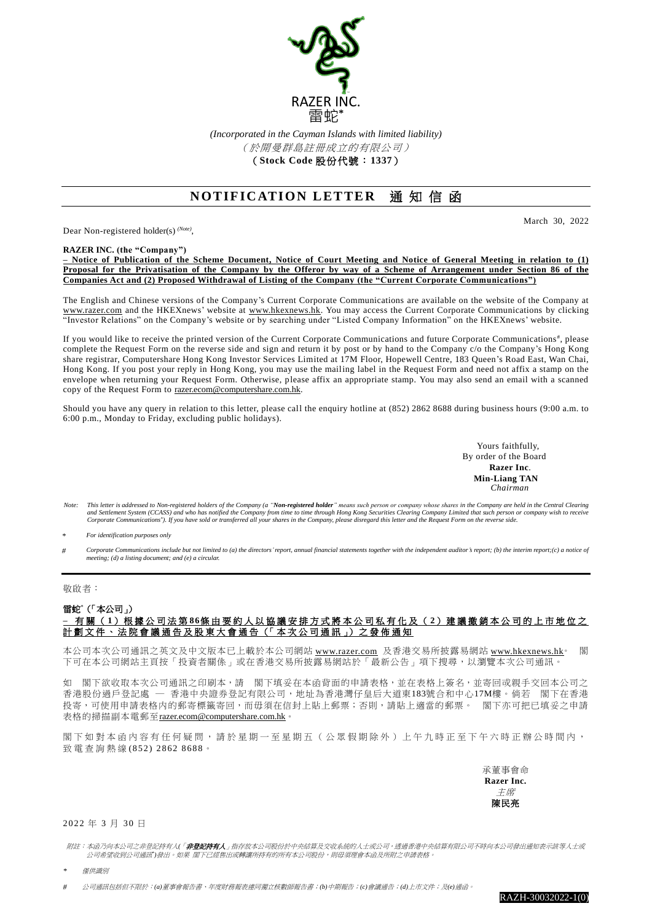

*(Incorporated in the Cayman Islands with limited liability)* (於開曼群島註冊成立的有限公司) (**Stock Code** 股份代號:**1337**)

## **NOTIFICATION LETTER 通知信函**

Dear Non-registered holder(s) *(Note)* ,

March 30, 2022

**RAZER INC. (the "Company")**

**– Notice of Publication of the Scheme Document, Notice of Court Meeting and Notice of General Meeting in relation to (1) Proposal for the Privatisation of the Company by the Offeror by way of a Scheme of Arrangement under Section 86 of the Companies Act and (2) Proposed Withdrawal of Listing of the Company (the "Current Corporate Communications")**

The English and Chinese versions of the Company's Current Corporate Communications are available on the website of the Company at [www.razer.com](https://www.razer.com/) and the HKEXnews' website at [www.hkexnews.hk.](http://www.hkexnews.hk/) You may access the Current Corporate Communications by clicking "Investor Relations" on the Company's website or by searching under "Listed Company Information" on the HKEXnews' website.

If you would like to receive the printed version of the Current Corporate Communications and future Corporate Communications#, please complete the Request Form on the reverse side and sign and return it by post or by hand to the Company c/o the Company's Hong Kong share registrar, Computershare Hong Kong Investor Services Limited at 17M Floor, Hopewell Centre, 183 Queen's Road East, Wan Chai, Hong Kong. If you post your reply in Hong Kong, you may use the mailing label in the Request Form and need not affix a stamp on the envelope when returning your Request Form. Otherwise, please affix an appropriate stamp. You may also send an email with a scanned copy of the Request Form to [razer.ecom@computershare.com.hk.](mailto:razer.ecom@computershare.com.hk)

Should you have any query in relation to this letter, please call the enquiry hotline at (852) 2862 8688 during business hours (9:00 a.m. to 6:00 p.m., Monday to Friday, excluding public holidays).

> Yours faithfully, By order of the Board  **Razer Inc**. **Min-Liang TAN** *Chairman*

Note: This letter is addressed to Non-registered holders of the Company (a "Non-registered holder" means such person or company whose shares in the Company are held in the Central Clearing and Settlement System (CCASS) and who has notified the Company from time to time through Hong Kong Securities Clearing Company Limited that such person or company wish to receive<br>Corporate Communications"). If you have sol

*\* For identification purposes only*

Corporate Communications include but not limited to (a) the directors' report, annual financial statements together with the independent auditor's report; (b) the interim report; (c) a notice of *meeting; (d) a listing document; and (e) a circular.*

## 敬啟者:

## 雷蛇\*(「本公司」) **–** 有 關 ( **1**) 根 據 公 司 法 第 **86**條 由 要 約 人 以 協 議 安 排 方 式 將 本 公 司 私 有 化 及 ( **2**) 建 議 撤 銷 本 公 司 的 上 市 地 位 之 計 劃 文 件 、 法 院 會 議 通 告 及 股 東 大 會 通 告 (「 本 次 公 司 通 訊 」) 之 發 佈 通 知

本公司本次公司通訊之英文及中文版本已上載於本公司網站 [www.razer.com](http://www.razer.com/) 及香港交易所披露易網站 [www.hkexnews.hk](http://www.hkexnews.hk/)。 閣 下可在本公司網站主頁按「投資者關係」或在香港交易所披露易網站於「最新公告」項下搜尋,以瀏覽本次公司通訊。

如 閣下欲收取本次公司通訊之印刷本,請 閣下填妥在本函背面的申請表格,並在表格上簽名,並寄回戓親手交回本公司之 香港股份過戶登記處 ─ 香港中央證券登記有限公司,地址為香港灣仔皇后大道東183號合和中心17M樓。倘若 閣下在香港 投寄,可使用申請表格内的郵寄標籤寄回,而毋須在信封上貼上郵票;否則,請貼上適當的郵票。 閣下亦可把已填妥之申請 表格的掃描副本電郵至[razer.ecom@computershare.com.hk](mailto:razer.ecom@computershare.com.hk)。

閣下如對本函內容有任何疑問,請於星期一至星期五(公眾假期除外)上午九時正至下午六時正辦公時間內, 致電查詢熱線 (852) 2862 8688。

> 承董事會命 **Razer Inc.**  主席 陳民亮

## 2022 年 3 月 30 日

附註:本函乃向本公司之非登記持有人*(*「非登記持有人」指存放本公司股份於中央結算及交收系統的人士或公司,透過香港中央結算有限公司不時向本公司發出通知表示該等人士或 公司希望收到公司通訊\*)發出。如果 閣下已經售出或轉讓所持有的所有本公司股份,則毋須理會本函及所附之申請表格。

*\** 僅供識別